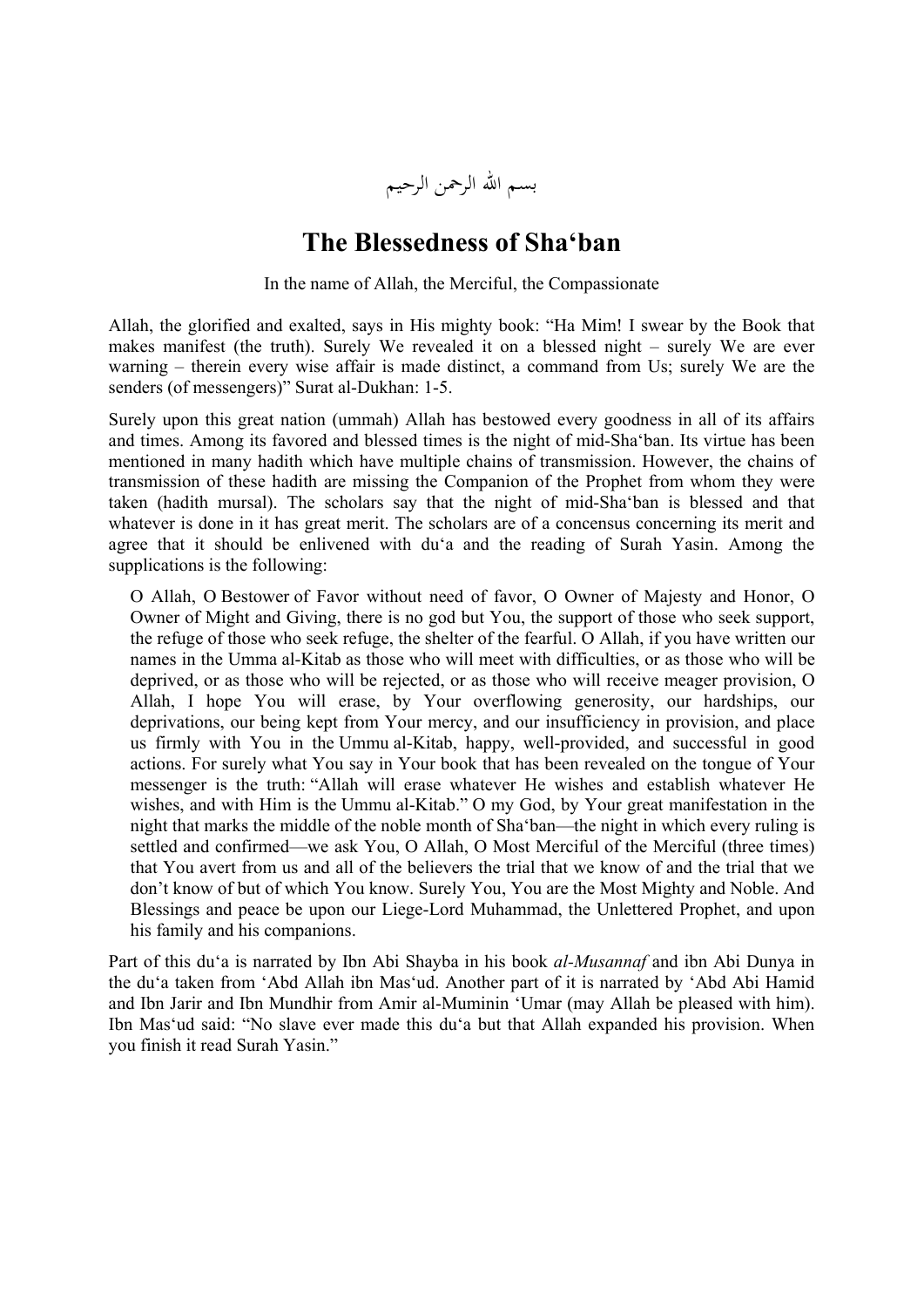

## **The Blessedness of Sha'ban**

In the name of Allah, the Merciful, the Compassionate

Allah, the glorified and exalted, says in His mighty book: "Ha Mim! I swear by the Book that makes manifest (the truth). Surely We revealed it on a blessed night – surely We are ever warning – therein every wise affair is made distinct, a command from Us; surely We are the senders (of messengers)" Surat al-Dukhan: 1-5.

Surely upon this great nation (ummah) Allah has bestowed every goodness in all of its affairs and times. Among its favored and blessed times is the night of mid-Sha'ban. Its virtue has been mentioned in many hadith which have multiple chains of transmission. However, the chains of transmission of these hadith are missing the Companion of the Prophet from whom they were taken (hadith mursal). The scholars say that the night of mid-Sha'ban is blessed and that whatever is done in it has great merit. The scholars are of a concensus concerning its merit and agree that it should be enlivened with du'a and the reading of Surah Yasin. Among the supplications is the following:

O Allah, O Bestower of Favor without need of favor, O Owner of Majesty and Honor, O Owner of Might and Giving, there is no god but You, the support of those who seek support, the refuge of those who seek refuge, the shelter of the fearful. O Allah, if you have written our names in the Umma al-Kitab as those who will meet with difficulties, or as those who will be deprived, or as those who will be rejected, or as those who will receive meager provision, O Allah, I hope You will erase, by Your overflowing generosity, our hardships, our deprivations, our being kept from Your mercy, and our insufficiency in provision, and place us firmly with You in the Ummu al-Kitab, happy, well-provided, and successful in good actions. For surely what You say in Your book that has been revealed on the tongue of Your messenger is the truth: "Allah will erase whatever He wishes and establish whatever He wishes, and with Him is the Ummu al-Kitab." O my God, by Your great manifestation in the night that marks the middle of the noble month of Sha'ban—the night in which every ruling is settled and confirmed—we ask You, O Allah, O Most Merciful of the Merciful (three times) that You avert from us and all of the believers the trial that we know of and the trial that we don't know of but of which You know. Surely You, You are the Most Mighty and Noble. And Blessings and peace be upon our Liege-Lord Muhammad, the Unlettered Prophet, and upon his family and his companions.

Part of this du'a is narrated by Ibn Abi Shayba in his book *al-Musannaf* and ibn Abi Dunya in the du'a taken from 'Abd Allah ibn Mas'ud. Another part of it is narrated by 'Abd Abi Hamid and Ibn Jarir and Ibn Mundhir from Amir al-Muminin 'Umar (may Allah be pleased with him). Ibn Mas'ud said: "No slave ever made this du'a but that Allah expanded his provision. When you finish it read Surah Yasin."